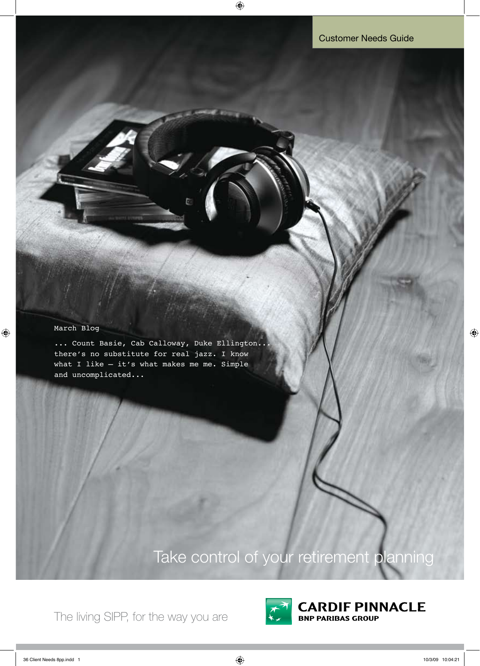### March Blog

 $\bigoplus$ 

... Count Basie, Cab Calloway, Duke Ellington. there's no substitute for real jazz. I know what I like – it's what makes me me. Simple and uncomplicated...

# Take control of your retirement planning

The living SIPP, for the way you are



**CARDIF PINNACLE BNP PARIBAS GROUP** 

 $\bigoplus$ 

 $\bigoplus$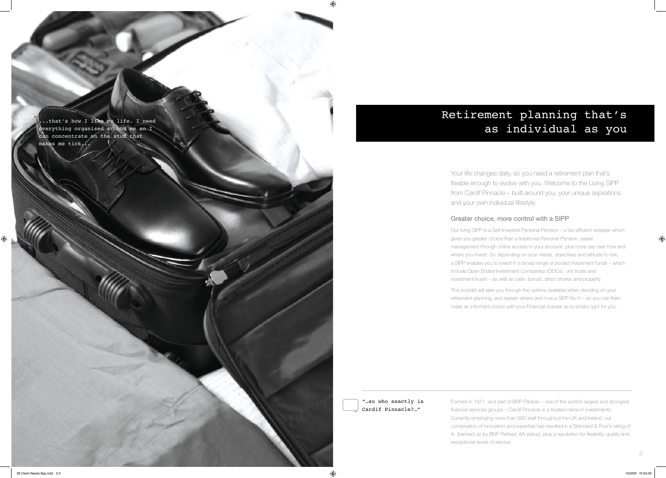..that's how I like my life. I need everything organised around me so I can concentrate on the stuff that makes me tick...

# Retirement planning that's as individual as you

Your life changes daily, so you need a retirement plan that's flexible enough to evolve with you. Welcome to the Living SIPP from Cardif Pinnacle – built around you, your unique aspirations and your own individual lifestyle.

### Greater choice, more control with a SIPP

Our living SIPP is a Self-Invested Personal Pension – a tax-efficient wrapper which gives you greater choice than a traditional Personal Pension, easier management through online access to your account, plus more say over how and where you invest. So depending on your needs, objectives and attitude to risk, a SIPP enables you to invest in a broad range of pooled investment funds – which include Open Ended Investment Companies (OEICs), unit trusts and investment trusts – as well as cash, bonds, direct shares and property.

This booklet will take you through the options available when deciding on your retirement planning, and explain where and how a SIPP fits in – so you can then make an informed choice with your Financial Adviser as to what's right for you.

"…so who exactly is Cardif Pinnacle?…"

Formed in 1971, and part of BNP Paribas – one of the world's largest and strongest financial services groups – Cardif Pinnacle is a trusted name in investments. Currently employing more than 900 staff throughout the UK and Ireland, our combination of innovation and expertise has resulted in a Standard & Poor's rating of A- (backed up by BNP Paribas' AA status), plus a reputation for flexibility, quality and exceptional levels of service.

36 Client Needs 8pp.indd 2-3 10/3/09 10:04:30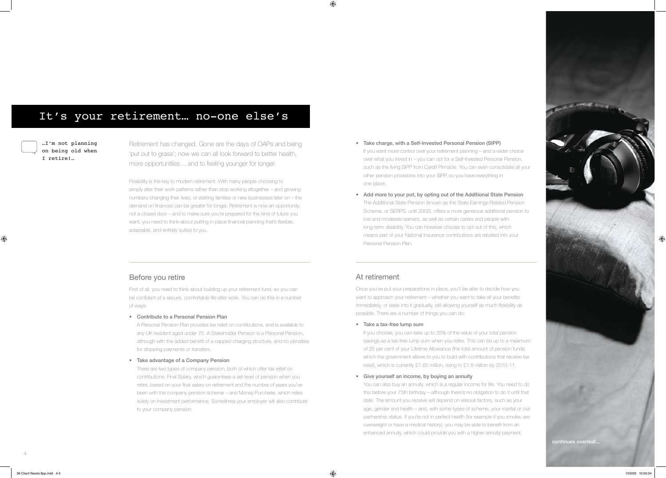## It's your retirement… no-one else's

…I'm not planning on being old when I retire!…

Retirement has changed. Gone are the days of OAPs and being 'put out to grass'; now we can all look forward to better health, more opportunities… and to feeling younger for longer.

Flexibility is the key to modern retirement. With many people choosing to simply alter their work patterns rather than stop working altogether – and growing numbers changing their lives, or starting families or new businesses later on – the demand on finances can be greater for longer. Retirement is now an opportunity, not a closed door – and to make sure you're prepared for the kind of future you want, you need to think about putting in place financial planning that's flexible, adaptable, and entirely suited to you.

### Before you retire

First of all, you need to think about building up your retirement fund, so you can be confident of a secure, comfortable life after work. You can do this in a number of ways:

• Contribute to a Personal Pension Plan

A Personal Pension Plan provides tax relief on contributions, and is available to any UK resident aged under 75. A Stakeholder Pension is a Personal Pension, although with the added benefit of a capped charging structure, and no penalties for stopping payments or transfers.

• Take advantage of a Company Pension

There are two types of company pension, both of which offer tax relief on contributions: Final Salary, which guarantees a set level of pension when you retire, based on your final salary on retirement and the number of years you've been with the company pension scheme – and Money Purchase, which relies solely on investment performance. Sometimes your employer will also contribute to your company pension.

If you choose, you can take up to 25% of the value of your total pension savings as a tax-free lump sum when you retire. This can be up to a maximum of 25 per cent of your Lifetime Allowance (the total amount of pension funds which the government allows to you to build with contributions that receive tax relief), which is currently £1.65 million, rising to £1.8 million by 2010-11.



- • Take charge, with a Self-Invested Personal Pension (SIPP) If you want more control over your retirement planning – and a wider choice over what you invest in – you can opt for a Self-Invested Personal Pension, such as the living SIPP from Cardif Pinnacle. You can even consolidate all your other pension provisions into your SIPP, so you have everything in one place.
- Add more to your pot, by opting out of the Additional State Pension The Additional State Pension (known as the State Earnings Related Pension Scheme, or SERPS, until 2002), offers a more generous additional pension to low and moderate earners, as well as certain carers and people with long-term disability. You can however choose to opt out of this, which means part of your National Insurance contributions are rebated into your Personal Pension Plan.

### At retirement

⊕

Once you've put your preparations in place, you'll be able to decide how you want to approach your retirement – whether you want to take all your benefits immediately, or ease into it gradually, still allowing yourself as much flexibility as possible. There are a number of things you can do:

### • Take a tax-free lump sum

• Give yourself an income, by buying an annuity

You can also buy an annuity, which is a regular income for life. You need to do this before your 75th birthday – although there's no obligation to do it until that date. The amount you receive will depend on various factors, such as your age, gender and health – and, with some types of scheme, your marital or civil partnership status. If you're not in perfect health (for example if you smoke, are overweight or have a medical history), you may be able to benefit from an enhanced annuity, which could provide you with a higher annuity payment.

⊕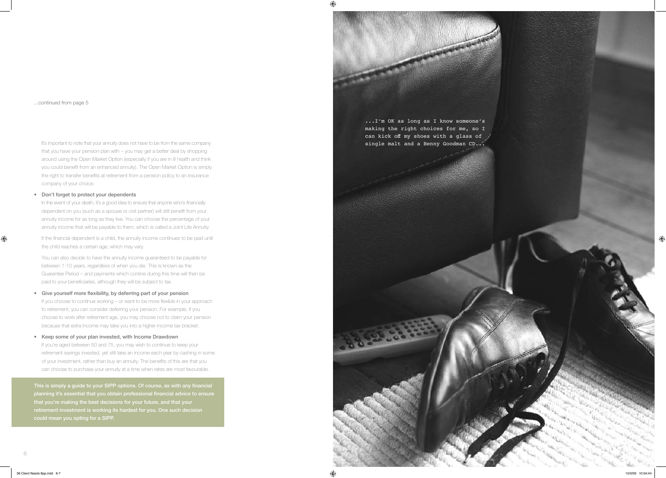$\bigoplus$ 

It's important to note that your annuity does not have to be from the same company that you have your pension plan with – you may get a better deal by shopping around using the Open Market Option (especially if you are in ill health and think you could benefit from an enhanced annuity). The Open Market Option is simply the right to transfer benefits at retirement from a pension policy to an insurance company of your choice.

In the event of your death, it's a good idea to ensure that anyone who's financially dependent on you (such as a spouse or civil partner) will still benefit from your annuity income for as long as they live. You can choose the percentage of your annuity income that will be payable to them, which is called a Joint Life Annuity.

### • Don't forget to protect your dependents

If the financial dependent is a child, the annuity income continues to be paid until the child reaches a certain age, which may vary.

• Give yourself more flexibility, by deferring part of your pension If you choose to continue working – or want to be more flexible in your approach to retirement, you can consider deferring your pension. For example, if you

 You can also decide to have the annuity income guaranteed to be payable for between 1-10 years, regardless of when you die. This is known as the Guarantee Period – and payments which contine during this time will then be paid to your beneficiaries, although they will be subject to tax.

choose to work after retirement age, you may choose not to claim your pension because that extra income may take you into a higher income tax bracket.

• Keep some of your plan invested, with Income Drawdown If you're aged between 50 and 75, you may wish to continue to keep your retirement savings invested, yet still take an income each year by cashing in some of your investment, rather than buy an annuity. The benefits of this are that you can choose to purchase your annuity at a time when rates are most favourable.

This is simply a guide to your SIPP options. Of course, as with any financial planning it's essential that you obtain professional financial advice to ensure that you're making the best decisions for your future, and that your retirement investment is working its hardest for you. One such decision could mean you opting for a SIPP.

...continued from page 5



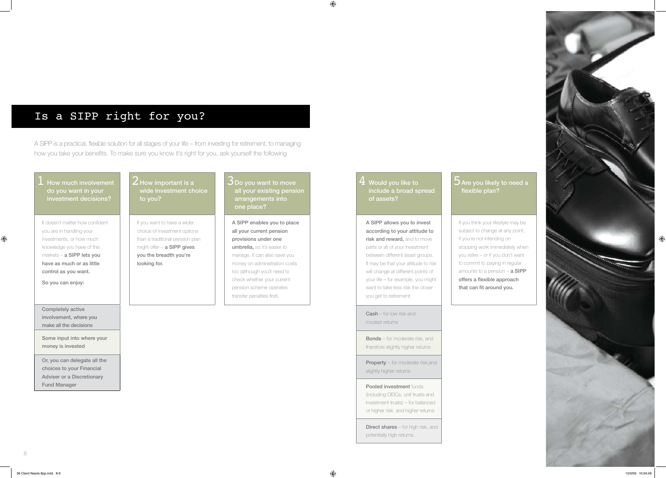8

 $\bigoplus$ 

## Is a SIPP right for you?

A SIPP is a practical, flexible solution for all stages of your life – from investing for retirement, to managing how you take your benefits. To make sure you know it's right for you, ask yourself the following

How much involvement do you want in your investment decisions?

It doesn't matter how confident you are in handling your investments, or how much knowledge you have of the markets – a SIPP lets you have as much or as little control as you want.

### $\overline{3}$  Do you want to move all your existing pension arrangements into one place?

So you can enjoy:

Completely active involvement, where you make all the decisions

### $2$  How important is a wide investment choice to you?

Some input into where your money is invested

If you want to have a wider choice of investment options than a traditional pension plan might offer – a SIPP gives you the breadth you're looking for.

Or, you can delegate all the choices to your Financial Adviser or a Discretionary Fund Manager

 $\frac{4}{4}$  Would you like to  $\frac{1}{4}$ include a broad spread of assets?

A SIPP enables you to place all your current pension provisions under one umbrella, so it's easier to manage. It can also save you money on administration costs too (although you'll need to check whether your current pension scheme operates transfer penalties first).

> **Direct shares** – for high risk, and potentially high returns.

 $\bigoplus$ 

### **5** Are you likely to need a flexible plan?

If you think your lifestyle may be subject to change at any point, if you're not intending on stopping work immediately when you retire – or if you don't want to commit to paying in regular amounts to a pension  $-$  a SIPP offers a flexible approach that can fit around you.



A SIPP allows you to invest according to your attitude to risk and reward, and to move parts or all of your investment between different asset groups. It may be that your attitude to risk will change at different points of your life – for example, you might want to take less risk the closer you get to retirement:

Cash – for low risk and modest returns

Bonds – for moderate risk, and therefore slightly higher returns

**Property** – for moderate risk, and slightly higher returns

### **Pooled investment funds**

(including OEICs, unit trusts and investment trusts) – for balanced or higher risk, and higher returns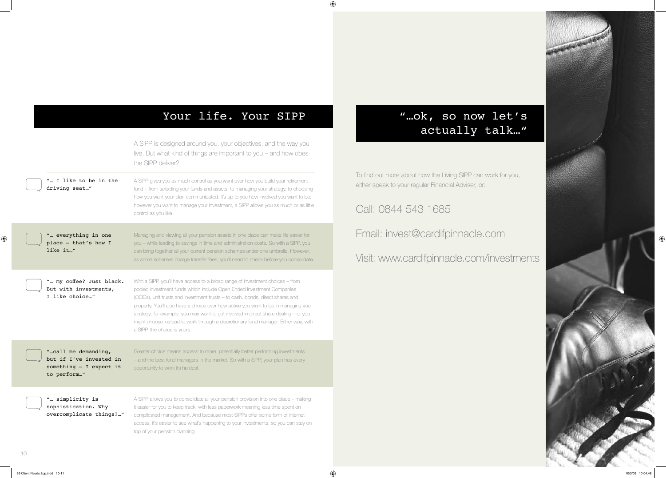10

 $\bigoplus$ 

# Your life. Your SIPP

|  |                                                                                            | A SIPP is designed around you, your objectives, and the way you<br>live. But what kind of things are important to you – and how does<br>the SIPP deliver?                                                                                                                                                                                                                                                                                                                                                                                      |                                          |
|--|--------------------------------------------------------------------------------------------|------------------------------------------------------------------------------------------------------------------------------------------------------------------------------------------------------------------------------------------------------------------------------------------------------------------------------------------------------------------------------------------------------------------------------------------------------------------------------------------------------------------------------------------------|------------------------------------------|
|  | " I like to be in the<br>driving seat"                                                     | A SIPP gives you as much control as you want over how you build your retirement<br>fund - from selecting your funds and assets, to managing your strategy, to choosing<br>how you want your plan communicated. It's up to you how involved you want to be;                                                                                                                                                                                                                                                                                     | To find out more a<br>either speak to yo |
|  |                                                                                            | however you want to manage your investment, a SIPP allows you as much or as little<br>control as you like.                                                                                                                                                                                                                                                                                                                                                                                                                                     | Call: 0844                               |
|  | " everything in one<br>place - that's how I<br>like it"                                    | Managing and viewing all your pension assets in one place can make life easier for<br>you - while leading to savings in time and administration costs. So with a SIPP, you<br>can bring together all your current pension schemes under one umbrella. However,<br>as some schemes charge transfer fees, you'll need to check before you consolidate.                                                                                                                                                                                           | Email: inve                              |
|  |                                                                                            |                                                                                                                                                                                                                                                                                                                                                                                                                                                                                                                                                | Visit: www.i                             |
|  | " my coffee? Just black.<br>But with investments,<br>I like choice"                        | With a SIPP, you'll have access to a broad range of investment choices - from<br>pooled investment funds which include Open Ended Investment Companies<br>(OEICs), unit trusts and investment trusts - to cash, bonds, direct shares and<br>property. You'll also have a choice over how active you want to be in managing your<br>strategy; for example, you may want to get involved in direct share dealing - or you<br>might choose instead to work through a discretionary fund manager. Either way, with<br>a SIPP, the choice is yours. |                                          |
|  | "call me demanding,<br>but if I've invested in<br>something $-$ I expect it<br>to perform" | Greater choice means access to more, potentially better performing investments<br>- and the best fund managers in the market. So with a SIPP, your plan has every<br>opportunity to work its hardest.                                                                                                                                                                                                                                                                                                                                          |                                          |
|  | " simplicity is<br>sophistication. Why<br>overcomplicate things?"                          | A SIPP allows you to consolidate all your pension provision into one place - making<br>it easier for you to keep track, with less paperwork meaning less time spent on<br>complicated management. And because most SIPPs offer some form of internet<br>access, it's easier to see what's happening to your investments, so you can stay on<br>top of your pension planning.                                                                                                                                                                   |                                          |

# "…ok, so now let's actually talk…"

about how the Living SIPP can work for you, bur regular Financial Adviser, or:

543 1685

est@cardifpinnacle.com

cardifpinnacle.com/investments

 $\bigoplus$